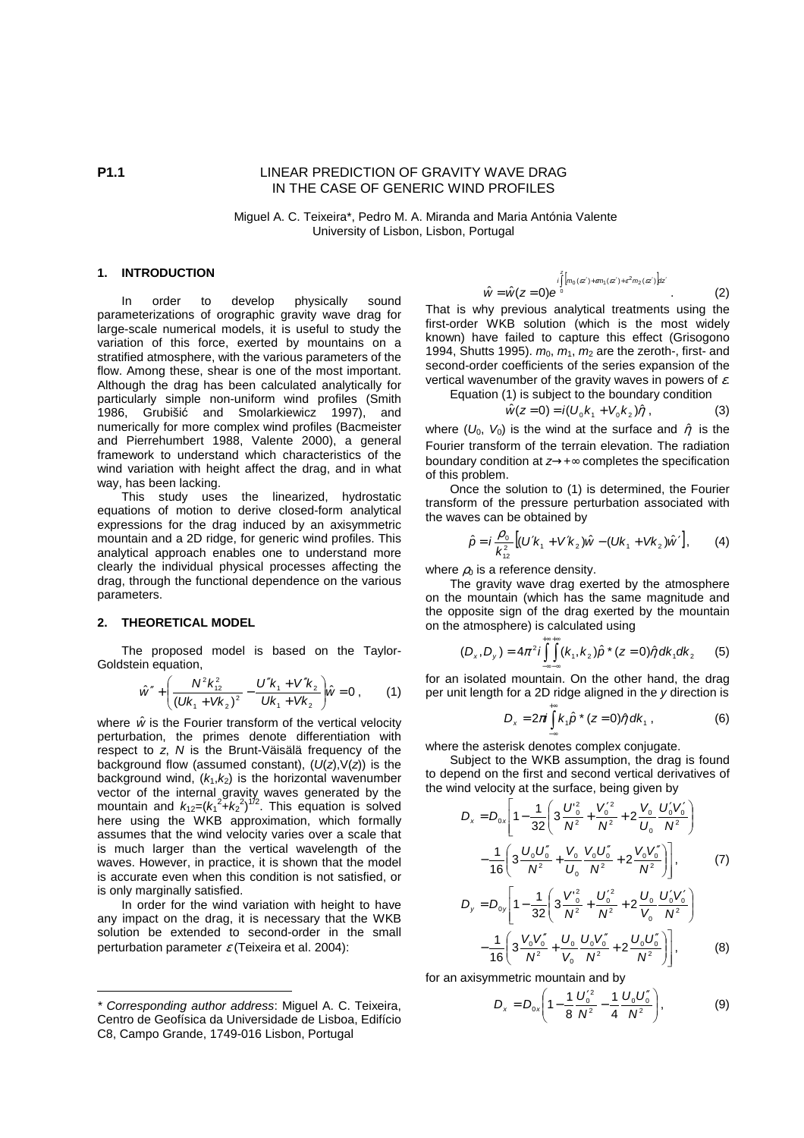# **P1.1** LINEAR PREDICTION OF GRAVITY WAVE DRAG IN THE CASE OF GENERIC WIND PROFILES

 Miguel A. C. Teixeira\*, Pedro M. A. Miranda and Maria Antónia Valente University of Lisbon, Lisbon, Portugal

### **1. INTRODUCTION\***

 In order to develop physically sound parameterizations of orographic gravity wave drag for large-scale numerical models, it is useful to study the variation of this force, exerted by mountains on a stratified atmosphere, with the various parameters of the flow. Among these, shear is one of the most important. Although the drag has been calculated analytically for particularly simple non-uniform wind profiles (Smith 1986, Grubišić and Smolarkiewicz 1997), and numerically for more complex wind profiles (Bacmeister and Pierrehumbert 1988, Valente 2000), a general framework to understand which characteristics of the wind variation with height affect the drag, and in what way, has been lacking.

 This study uses the linearized, hydrostatic equations of motion to derive closed-form analytical expressions for the drag induced by an axisymmetric mountain and a 2D ridge, for generic wind profiles. This analytical approach enables one to understand more clearly the individual physical processes affecting the drag, through the functional dependence on the various parameters.

#### **2. THEORETICAL MODEL**

 $\overline{a}$ 

 The proposed model is based on the Taylor-Goldstein equation,

$$
\hat{w}'' + \left(\frac{N^2 k_{12}^2}{\left(Uk_1 + Vk_2\right)^2} - \frac{U''k_1 + V''k_2}{Uk_1 + Vk_2}\right)\hat{w} = 0 , \qquad (1)
$$

where  $\hat{w}$  is the Fourier transform of the vertical velocity perturbation, the primes denote differentiation with respect to z, N is the Brunt-Väisälä frequency of the background flow (assumed constant),  $(U(z), V(z))$  is the background wind,  $(k_1, k_2)$  is the horizontal wavenumber vector of the internal gravity waves generated by the mountain and  $k_{12}=(k_1^2+k_2^2)^{1/2}$ . This equation is solved here using the WKB approximation, which formally assumes that the wind velocity varies over a scale that is much larger than the vertical wavelength of the waves. However, in practice, it is shown that the model is accurate even when this condition is not satisfied, or is only marginally satisfied.

 In order for the wind variation with height to have any impact on the drag, it is necessary that the WKB solution be extended to second-order in the small perturbation parameter  $\varepsilon$  (Teixeira et al. 2004):

$$
\hat{w} = \hat{w}(z=0)e^{\int_{0}^{z} [m_0(zz') + \varepsilon m_1(zz') + \varepsilon^2 m_2(zz')]dz'}.
$$
 (2)

That is why previous analytical treatments using the first-order WKB solution (which is the most widely known) have failed to capture this effect (Grisogono 1994, Shutts 1995).  $m_0$ ,  $m_1$ ,  $m_2$  are the zeroth-, first- and second-order coefficients of the series expansion of the vertical wavenumber of the gravity waves in powers of  $\varepsilon$ .

z

Equation (1) is subject to the boundary condition

$$
\hat{w}(z=0) = i(U_0 k_1 + V_0 k_2) \hat{\eta} \tag{3}
$$

where ( $U_0$ ,  $V_0$ ) is the wind at the surface and  $\hat{\eta}$  is the Fourier transform of the terrain elevation. The radiation boundary condition at z→+∞ completes the specification of this problem.

 Once the solution to (1) is determined, the Fourier transform of the pressure perturbation associated with the waves can be obtained by

$$
\hat{p} = i \frac{\rho_0}{k_{12}^2} \left[ (U'k_1 + V'k_2) \hat{w} - (Uk_1 + Vk_2) \hat{w}' \right],
$$
 (4)

where  $\rho_0$  is a reference density.

 The gravity wave drag exerted by the atmosphere on the mountain (which has the same magnitude and the opposite sign of the drag exerted by the mountain on the atmosphere) is calculated using

$$
(D_x, D_y) = 4\pi^2 i \int_{-\infty}^{+\infty} \int_{-\infty}^{+\infty} (k_1, k_2) \hat{p} \cdot (z = 0) \hat{\eta} \, dk_1 dk_2 \qquad (5)
$$

for an isolated mountain. On the other hand, the drag per unit length for a 2D ridge aligned in the y direction is

$$
D_x = 2\pi i \int_{-\infty}^{+\infty} k_1 \hat{p} \cdot (z=0) \hat{\eta} \, dk_1 \,, \tag{6}
$$

where the asterisk denotes complex conjugate.

Subject to the WKB assumption, the drag is found to depend on the first and second vertical derivatives of the wind velocity at the surface, being given by

$$
D_x = D_{0x} \left[ 1 - \frac{1}{32} \left( 3 \frac{U_0^2}{N^2} + \frac{V_0^2}{N^2} + 2 \frac{V_0}{U_0} \frac{U_0^{\prime} V_0^{\prime}}{N^2} \right) - \frac{1}{16} \left( 3 \frac{U_0 U_0^{\prime}}{N^2} + \frac{V_0}{U_0} \frac{V_0 U_0^{\prime}}{N^2} + 2 \frac{V_0 V_0^{\prime}}{N^2} \right) \right],
$$
 (7)

$$
D_{y} = D_{0y} \left[ 1 - \frac{1}{32} \left( 3 \frac{V_{0}^{2}}{N^{2}} + \frac{U_{0}^{'2}}{N^{2}} + 2 \frac{U_{0}}{V_{0}} \frac{U_{0}'V_{0}'}{N^{2}} \right) - \frac{1}{16} \left( 3 \frac{V_{0}V_{0}''}{N^{2}} + \frac{U_{0}}{V_{0}} \frac{U_{0}V_{0}''}{N^{2}} + 2 \frac{U_{0}U_{0}''}{N^{2}} \right) \right],
$$
 (8)

for an axisymmetric mountain and by

$$
D_x = D_{0x} \left( 1 - \frac{1}{8} \frac{U_0^{\prime 2}}{N^2} - \frac{1}{4} \frac{U_0 U_0^{\prime\prime}}{N^2} \right),
$$
 (9)

<sup>\*</sup> Corresponding author address: Miguel A. C. Teixeira, Centro de Geofísica da Universidade de Lisboa, Edifício C8, Campo Grande, 1749-016 Lisbon, Portugal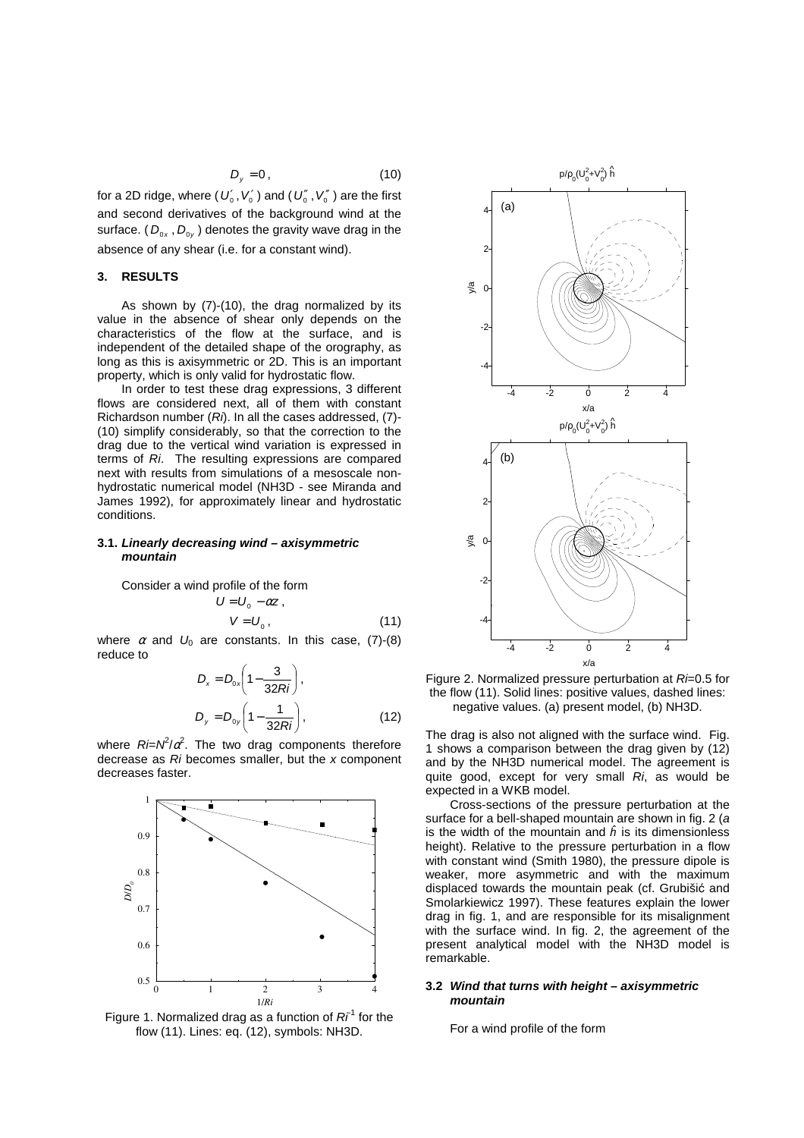$$
D_{y}=0\,,\tag{10}
$$

for a 2D ridge, where (  $U_{\scriptscriptstyle 0}'$  ,  $V_{\scriptscriptstyle 0}'$  ) and (  $U_{\scriptscriptstyle 0}''$  ,  $V_{\scriptscriptstyle 0}''$  ) are the first and second derivatives of the background wind at the surface. (  $D_{0x}$  ,  $D_{0y}$  ) denotes the gravity wave drag in the absence of any shear (i.e. for a constant wind).

## **3. RESULTS**

 As shown by (7)-(10), the drag normalized by its value in the absence of shear only depends on the characteristics of the flow at the surface, and is independent of the detailed shape of the orography, as long as this is axisymmetric or 2D. This is an important property, which is only valid for hydrostatic flow.

 In order to test these drag expressions, 3 different flows are considered next, all of them with constant Richardson number  $(Ri)$ . In all the cases addressed,  $(7)$ -(10) simplify considerably, so that the correction to the drag due to the vertical wind variation is expressed in terms of Ri. The resulting expressions are compared next with results from simulations of a mesoscale nonhydrostatic numerical model (NH3D - see Miranda and James 1992), for approximately linear and hydrostatic conditions.

#### **3.1. Linearly decreasing wind – axisymmetric mountain**

Consider a wind profile of the form

$$
U = U_0 - \alpha z ,
$$
  
\n
$$
V = U_0 ,
$$
\n(11)

where  $\alpha$  and  $U_0$  are constants. In this case, (7)-(8) reduce to

$$
D_x = D_{0x} \left( 1 - \frac{3}{32Ri} \right),
$$
  

$$
D_y = D_{0y} \left( 1 - \frac{1}{32Ri} \right),
$$
 (12)

where  $R = \mu^2/\alpha^2$ . The two drag components therefore decrease as Ri becomes smaller, but the x component decreases faster.



Figure 1. Normalized drag as a function of  $Ri^1$  for the flow (11). Lines: eq. (12), symbols: NH3D.



Figure 2. Normalized pressure perturbation at  $R = 0.5$  for the flow (11). Solid lines: positive values, dashed lines: negative values. (a) present model, (b) NH3D.

The drag is also not aligned with the surface wind. Fig. 1 shows a comparison between the drag given by (12) and by the NH3D numerical model. The agreement is quite good, except for very small  $Ri$ , as would be expected in a WKB model.

 Cross-sections of the pressure perturbation at the surface for a bell-shaped mountain are shown in fig. 2 (a is the width of the mountain and  $\hat{h}$  is its dimensionless height). Relative to the pressure perturbation in a flow with constant wind (Smith 1980), the pressure dipole is weaker, more asymmetric and with the maximum displaced towards the mountain peak (cf. Grubišić and Smolarkiewicz 1997). These features explain the lower drag in fig. 1, and are responsible for its misalignment with the surface wind. In fig. 2, the agreement of the present analytical model with the NH3D model is remarkable.

### **3.2 Wind that turns with height – axisymmetric mountain**

For a wind profile of the form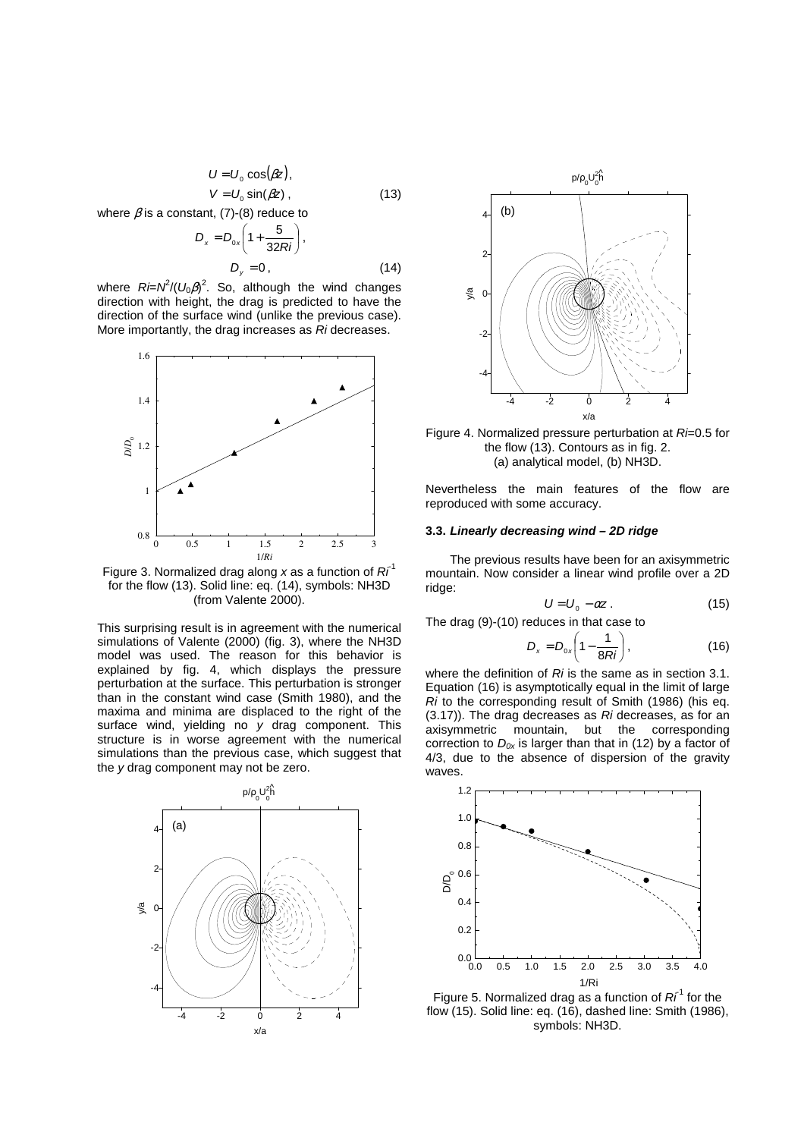$$
U = U_0 \cos(\beta z),
$$
  
\n
$$
V = U_0 \sin(\beta z),
$$
\n(13)

where  $\beta$  is a constant, (7)-(8) reduce to

$$
D_x = D_{0x} \left( 1 + \frac{5}{32Ri} \right),
$$
  

$$
D_y = 0,
$$
 (14)

where  $R = \frac{\hat{N} - N^2}{U_0 \beta}$ . So, although the wind changes direction with height, the drag is predicted to have the direction of the surface wind (unlike the previous case). More importantly, the drag increases as Ri decreases.



Figure 3. Normalized drag along x as a function of  $Ri^1$ for the flow (13). Solid line: eq. (14), symbols: NH3D (from Valente 2000).

This surprising result is in agreement with the numerical simulations of Valente (2000) (fig. 3), where the NH3D model was used. The reason for this behavior is explained by fig. 4, which displays the pressure perturbation at the surface. This perturbation is stronger than in the constant wind case (Smith 1980), and the maxima and minima are displaced to the right of the surface wind, yielding no y drag component. This structure is in worse agreement with the numerical simulations than the previous case, which suggest that the y drag component may not be zero.





Figure 4. Normalized pressure perturbation at  $R = 0.5$  for the flow (13). Contours as in fig. 2. (a) analytical model, (b) NH3D.

Nevertheless the main features of the flow are reproduced with some accuracy.

#### **3.3. Linearly decreasing wind – 2D ridge**

 The previous results have been for an axisymmetric mountain. Now consider a linear wind profile over a 2D ridge:

$$
U = U_0 - \alpha z \,. \tag{15}
$$

The drag (9)-(10) reduces in that case to

$$
D_x = D_{0x} \left(1 - \frac{1}{8Ri}\right),\tag{16}
$$

where the definition of  $Ri$  is the same as in section 3.1. Equation (16) is asymptotically equal in the limit of large Ri to the corresponding result of Smith (1986) (his eq. (3.17)). The drag decreases as Ri decreases, as for an axisymmetric mountain, but the corresponding correction to  $D_{0x}$  is larger than that in (12) by a factor of 4/3, due to the absence of dispersion of the gravity waves.



Figure 5. Normalized drag as a function of  $Ri^1$  for the flow (15). Solid line: eq. (16), dashed line: Smith (1986), symbols: NH3D.